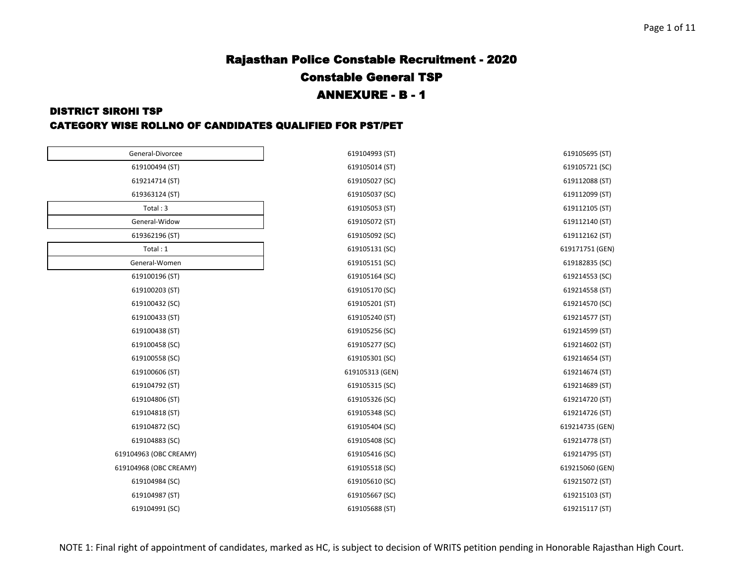619112162 (ST) 619171751 (GEN)

619214735 (GEN)

619215060 (GEN)

# Rajasthan Police Constable Recruitment - 2020 Constable General TSP ANNEXURE - B - 1

#### DISTRICT SIROHI TSP

#### CATEGORY WISE ROLLNO OF CANDIDATES QUALIFIED FOR PST/PET

| General-Divorcee       | 619104993 (ST)  | 619105695 (ST) |
|------------------------|-----------------|----------------|
| 619100494 (ST)         | 619105014 (ST)  | 619105721 (SC) |
| 619214714 (ST)         | 619105027 (SC)  | 619112088 (ST) |
| 619363124 (ST)         | 619105037 (SC)  | 619112099 (ST) |
| Total: 3               | 619105053 (ST)  | 619112105 (ST) |
| General-Widow          | 619105072 (ST)  | 619112140 (ST) |
| 619362196 (ST)         | 619105092 (SC)  | 619112162 (ST) |
| Total: 1               | 619105131 (SC)  | 619171751 (GEN |
| General-Women          | 619105151 (SC)  | 619182835 (SC) |
| 619100196 (ST)         | 619105164 (SC)  | 619214553 (SC) |
| 619100203 (ST)         | 619105170 (SC)  | 619214558 (ST) |
| 619100432 (SC)         | 619105201 (ST)  | 619214570 (SC) |
| 619100433 (ST)         | 619105240 (ST)  | 619214577 (ST) |
| 619100438 (ST)         | 619105256 (SC)  | 619214599 (ST) |
| 619100458 (SC)         | 619105277 (SC)  | 619214602 (ST) |
| 619100558 (SC)         | 619105301 (SC)  | 619214654 (ST) |
| 619100606 (ST)         | 619105313 (GEN) | 619214674 (ST) |
| 619104792 (ST)         | 619105315 (SC)  | 619214689 (ST) |
| 619104806 (ST)         | 619105326 (SC)  | 619214720 (ST) |
| 619104818 (ST)         | 619105348 (SC)  | 619214726 (ST) |
| 619104872 (SC)         | 619105404 (SC)  | 619214735 (GEN |
| 619104883 (SC)         | 619105408 (SC)  | 619214778 (ST) |
| 619104963 (OBC CREAMY) | 619105416 (SC)  | 619214795 (ST) |
| 619104968 (OBC CREAMY) | 619105518 (SC)  | 619215060 (GEN |
| 619104984 (SC)         | 619105610 (SC)  | 619215072 (ST) |
| 619104987 (ST)         | 619105667 (SC)  | 619215103 (ST) |
| 619104991 (SC)         | 619105688 (ST)  | 619215117 (ST) |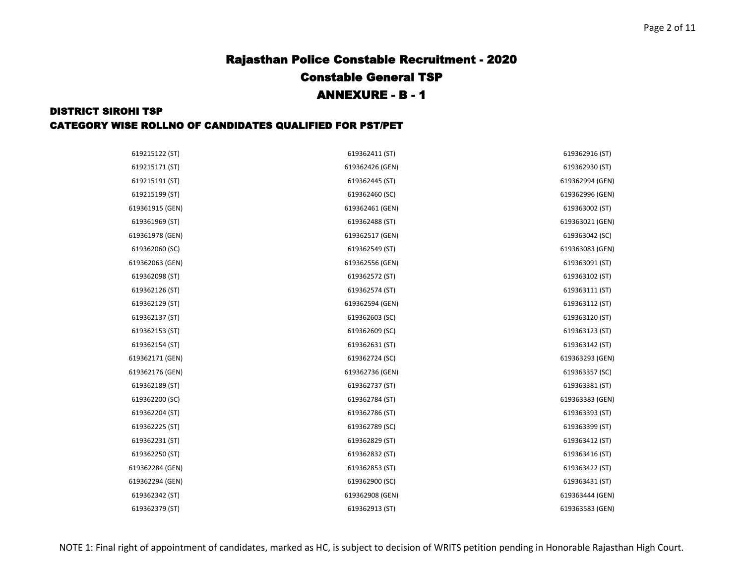| 619215122 (ST)  | 619362411 (ST)  | 619362916 (ST)  |
|-----------------|-----------------|-----------------|
| 619215171 (ST)  | 619362426 (GEN) | 619362930 (ST)  |
| 619215191 (ST)  | 619362445 (ST)  | 619362994 (GEN) |
| 619215199 (ST)  | 619362460 (SC)  | 619362996 (GEN) |
| 619361915 (GEN) | 619362461 (GEN) | 619363002 (ST)  |
| 619361969 (ST)  | 619362488 (ST)  | 619363021 (GEN) |
| 619361978 (GEN) | 619362517 (GEN) | 619363042 (SC)  |
| 619362060 (SC)  | 619362549 (ST)  | 619363083 (GEN) |
| 619362063 (GEN) | 619362556 (GEN) | 619363091 (ST)  |
| 619362098 (ST)  | 619362572 (ST)  | 619363102 (ST)  |
| 619362126 (ST)  | 619362574 (ST)  | 619363111 (ST)  |
| 619362129 (ST)  | 619362594 (GEN) | 619363112 (ST)  |
| 619362137 (ST)  | 619362603 (SC)  | 619363120 (ST)  |
| 619362153 (ST)  | 619362609 (SC)  | 619363123 (ST)  |
| 619362154 (ST)  | 619362631 (ST)  | 619363142 (ST)  |
| 619362171 (GEN) | 619362724 (SC)  | 619363293 (GEN) |
| 619362176 (GEN) | 619362736 (GEN) | 619363357 (SC)  |
| 619362189 (ST)  | 619362737 (ST)  | 619363381 (ST)  |
| 619362200 (SC)  | 619362784 (ST)  | 619363383 (GEN) |
| 619362204 (ST)  | 619362786 (ST)  | 619363393 (ST)  |
| 619362225 (ST)  | 619362789 (SC)  | 619363399 (ST)  |
| 619362231 (ST)  | 619362829 (ST)  | 619363412 (ST)  |
| 619362250 (ST)  | 619362832 (ST)  | 619363416 (ST)  |
| 619362284 (GEN) | 619362853 (ST)  | 619363422 (ST)  |
| 619362294 (GEN) | 619362900 (SC)  | 619363431 (ST)  |
| 619362342 (ST)  | 619362908 (GEN) | 619363444 (GEN) |
| 619362379 (ST)  | 619362913 (ST)  | 619363583 (GEN) |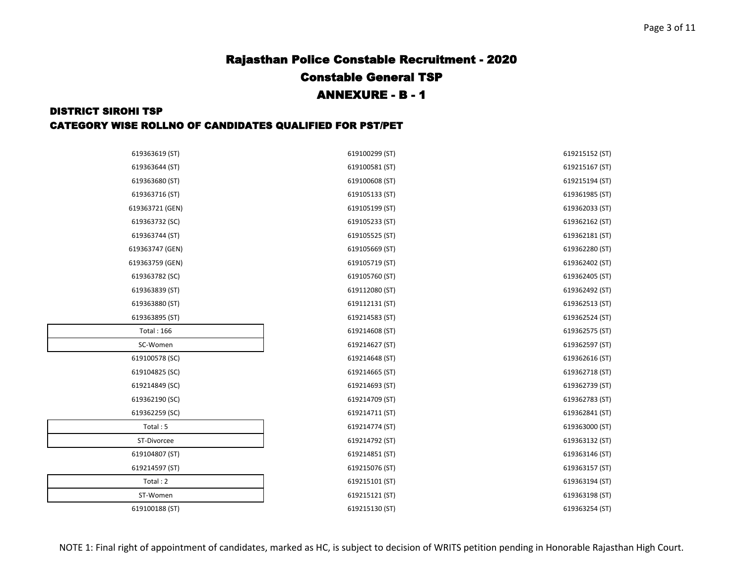#### DISTRICT SIROHI TSP CATEGORY WISE ROLLNO OF CANDIDATES QUALIFIED FOR PST/PET

| 619363619 (ST)    | 619100299 (ST) | 619215152 (ST) |
|-------------------|----------------|----------------|
| 619363644 (ST)    | 619100581 (ST) | 619215167 (ST) |
| 619363680 (ST)    | 619100608 (ST) | 619215194 (ST) |
| 619363716 (ST)    | 619105133 (ST) | 619361985 (ST) |
| 619363721 (GEN)   | 619105199 (ST) | 619362033 (ST) |
| 619363732 (SC)    | 619105233 (ST) | 619362162 (ST) |
| 619363744 (ST)    | 619105525 (ST) | 619362181 (ST) |
| 619363747 (GEN)   | 619105669 (ST) | 619362280 (ST) |
| 619363759 (GEN)   | 619105719 (ST) | 619362402 (ST) |
| 619363782 (SC)    | 619105760 (ST) | 619362405 (ST) |
| 619363839 (ST)    | 619112080 (ST) | 619362492 (ST) |
| 619363880 (ST)    | 619112131 (ST) | 619362513 (ST) |
| 619363895 (ST)    | 619214583 (ST) | 619362524 (ST) |
| <b>Total: 166</b> | 619214608 (ST) | 619362575 (ST) |
| SC-Women          | 619214627 (ST) | 619362597 (ST) |
| 619100578 (SC)    | 619214648 (ST) | 619362616 (ST) |
| 619104825 (SC)    | 619214665 (ST) | 619362718 (ST) |
| 619214849 (SC)    | 619214693 (ST) | 619362739 (ST) |
| 619362190 (SC)    | 619214709 (ST) | 619362783 (ST) |
| 619362259 (SC)    | 619214711 (ST) | 619362841 (ST) |
| Total: 5          | 619214774 (ST) | 619363000 (ST) |
| ST-Divorcee       | 619214792 (ST) | 619363132 (ST) |
| 619104807 (ST)    | 619214851 (ST) | 619363146 (ST) |
| 619214597 (ST)    | 619215076 (ST) | 619363157 (ST) |
| Total: 2          | 619215101 (ST) | 619363194 (ST) |
| ST-Women          | 619215121 (ST) | 619363198 (ST) |
| 619100188 (ST)    | 619215130 (ST) | 619363254 (ST) |

NOTE 1: Final right of appointment of candidates, marked as HC, is subject to decision of WRITS petition pending in Honorable Rajasthan High Court.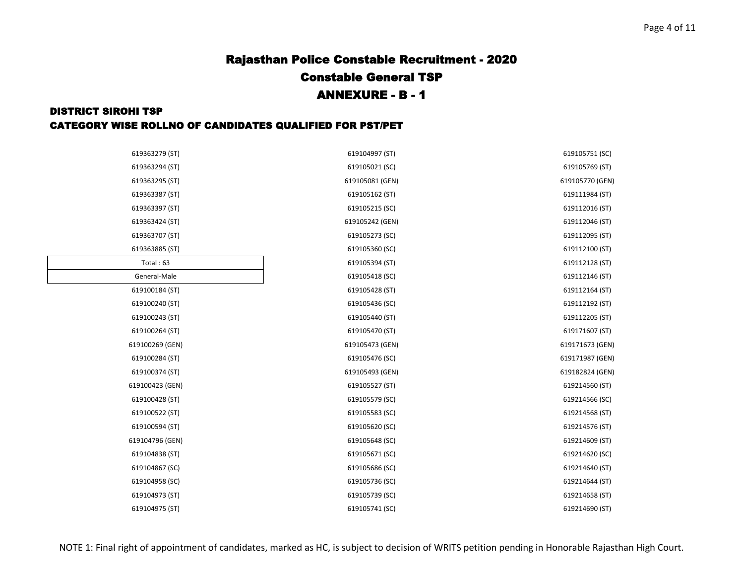| 619363279 (ST)  | 619104997 (ST)  | 619105751 (SC)  |
|-----------------|-----------------|-----------------|
| 619363294 (ST)  | 619105021 (SC)  | 619105769 (ST)  |
| 619363295 (ST)  | 619105081 (GEN) | 619105770 (GEN) |
| 619363387 (ST)  | 619105162 (ST)  | 619111984 (ST)  |
| 619363397 (ST)  | 619105215 (SC)  | 619112016 (ST)  |
| 619363424 (ST)  | 619105242 (GEN) | 619112046 (ST)  |
| 619363707 (ST)  | 619105273 (SC)  | 619112095 (ST)  |
| 619363885 (ST)  | 619105360 (SC)  | 619112100 (ST)  |
| Total: 63       | 619105394 (ST)  | 619112128 (ST)  |
| General-Male    | 619105418 (SC)  | 619112146 (ST)  |
| 619100184 (ST)  | 619105428 (ST)  | 619112164 (ST)  |
| 619100240 (ST)  | 619105436 (SC)  | 619112192 (ST)  |
| 619100243 (ST)  | 619105440 (ST)  | 619112205 (ST)  |
| 619100264 (ST)  | 619105470 (ST)  | 619171607 (ST)  |
| 619100269 (GEN) | 619105473 (GEN) | 619171673 (GEN) |
| 619100284 (ST)  | 619105476 (SC)  | 619171987 (GEN) |
| 619100374 (ST)  | 619105493 (GEN) | 619182824 (GEN) |
| 619100423 (GEN) | 619105527 (ST)  | 619214560 (ST)  |
| 619100428 (ST)  | 619105579 (SC)  | 619214566 (SC)  |
| 619100522 (ST)  | 619105583 (SC)  | 619214568 (ST)  |
| 619100594 (ST)  | 619105620 (SC)  | 619214576 (ST)  |
| 619104796 (GEN) | 619105648 (SC)  | 619214609 (ST)  |
| 619104838 (ST)  | 619105671 (SC)  | 619214620 (SC)  |
| 619104867 (SC)  | 619105686 (SC)  | 619214640 (ST)  |
| 619104958 (SC)  | 619105736 (SC)  | 619214644 (ST)  |
| 619104973 (ST)  | 619105739 (SC)  | 619214658 (ST)  |
| 619104975 (ST)  | 619105741 (SC)  | 619214690 (ST)  |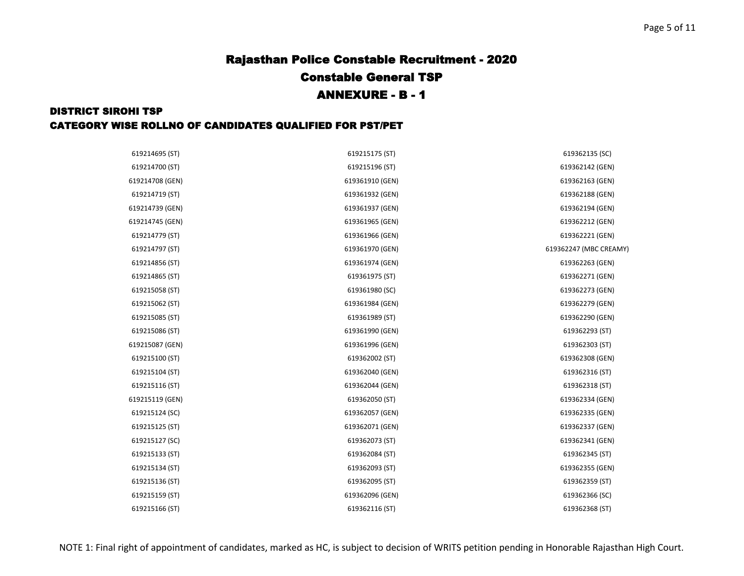| 619214695 (ST)  | 619215175 (ST)  | 619362135 (SC)         |
|-----------------|-----------------|------------------------|
| 619214700 (ST)  | 619215196 (ST)  | 619362142 (GEN)        |
| 619214708 (GEN) | 619361910 (GEN) | 619362163 (GEN)        |
| 619214719 (ST)  | 619361932 (GEN) | 619362188 (GEN)        |
| 619214739 (GEN) | 619361937 (GEN) | 619362194 (GEN)        |
| 619214745 (GEN) | 619361965 (GEN) | 619362212 (GEN)        |
| 619214779 (ST)  | 619361966 (GEN) | 619362221 (GEN)        |
| 619214797 (ST)  | 619361970 (GEN) | 619362247 (MBC CREAMY) |
| 619214856 (ST)  | 619361974 (GEN) | 619362263 (GEN)        |
| 619214865 (ST)  | 619361975 (ST)  | 619362271 (GEN)        |
| 619215058 (ST)  | 619361980 (SC)  | 619362273 (GEN)        |
| 619215062 (ST)  | 619361984 (GEN) | 619362279 (GEN)        |
| 619215085 (ST)  | 619361989 (ST)  | 619362290 (GEN)        |
| 619215086 (ST)  | 619361990 (GEN) | 619362293 (ST)         |
| 619215087 (GEN) | 619361996 (GEN) | 619362303 (ST)         |
| 619215100 (ST)  | 619362002 (ST)  | 619362308 (GEN)        |
| 619215104 (ST)  | 619362040 (GEN) | 619362316 (ST)         |
| 619215116 (ST)  | 619362044 (GEN) | 619362318 (ST)         |
| 619215119 (GEN) | 619362050 (ST)  | 619362334 (GEN)        |
| 619215124 (SC)  | 619362057 (GEN) | 619362335 (GEN)        |
| 619215125 (ST)  | 619362071 (GEN) | 619362337 (GEN)        |
| 619215127 (SC)  | 619362073 (ST)  | 619362341 (GEN)        |
| 619215133 (ST)  | 619362084 (ST)  | 619362345 (ST)         |
| 619215134 (ST)  | 619362093 (ST)  | 619362355 (GEN)        |
| 619215136 (ST)  | 619362095 (ST)  | 619362359 (ST)         |
| 619215159 (ST)  | 619362096 (GEN) | 619362366 (SC)         |
| 619215166 (ST)  | 619362116 (ST)  | 619362368 (ST)         |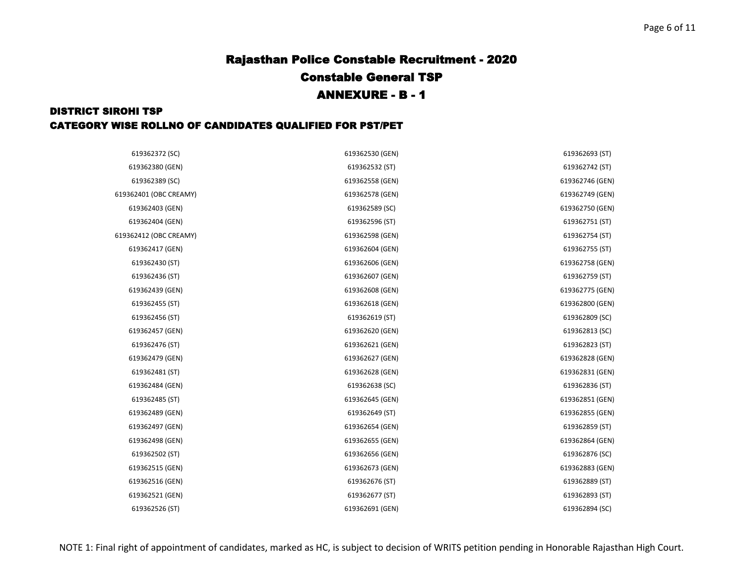| 619362372 (SC)         | 619362530 (GEN) | 619362693 (ST)  |
|------------------------|-----------------|-----------------|
| 619362380 (GEN)        | 619362532 (ST)  | 619362742 (ST)  |
| 619362389 (SC)         | 619362558 (GEN) | 619362746 (GEN) |
| 619362401 (OBC CREAMY) | 619362578 (GEN) | 619362749 (GEN) |
| 619362403 (GEN)        | 619362589 (SC)  | 619362750 (GEN) |
| 619362404 (GEN)        | 619362596 (ST)  | 619362751 (ST)  |
| 619362412 (OBC CREAMY) | 619362598 (GEN) | 619362754 (ST)  |
| 619362417 (GEN)        | 619362604 (GEN) | 619362755 (ST)  |
| 619362430 (ST)         | 619362606 (GEN) | 619362758 (GEN) |
| 619362436 (ST)         | 619362607 (GEN) | 619362759 (ST)  |
| 619362439 (GEN)        | 619362608 (GEN) | 619362775 (GEN) |
| 619362455 (ST)         | 619362618 (GEN) | 619362800 (GEN) |
| 619362456 (ST)         | 619362619 (ST)  | 619362809 (SC)  |
| 619362457 (GEN)        | 619362620 (GEN) | 619362813 (SC)  |
| 619362476 (ST)         | 619362621 (GEN) | 619362823 (ST)  |
| 619362479 (GEN)        | 619362627 (GEN) | 619362828 (GEN) |
| 619362481 (ST)         | 619362628 (GEN) | 619362831 (GEN) |
| 619362484 (GEN)        | 619362638 (SC)  | 619362836 (ST)  |
| 619362485 (ST)         | 619362645 (GEN) | 619362851 (GEN) |
| 619362489 (GEN)        | 619362649 (ST)  | 619362855 (GEN) |
| 619362497 (GEN)        | 619362654 (GEN) | 619362859 (ST)  |
| 619362498 (GEN)        | 619362655 (GEN) | 619362864 (GEN) |
| 619362502 (ST)         | 619362656 (GEN) | 619362876 (SC)  |
| 619362515 (GEN)        | 619362673 (GEN) | 619362883 (GEN) |
| 619362516 (GEN)        | 619362676 (ST)  | 619362889 (ST)  |
| 619362521 (GEN)        | 619362677 (ST)  | 619362893 (ST)  |
| 619362526 (ST)         | 619362691 (GEN) | 619362894 (SC)  |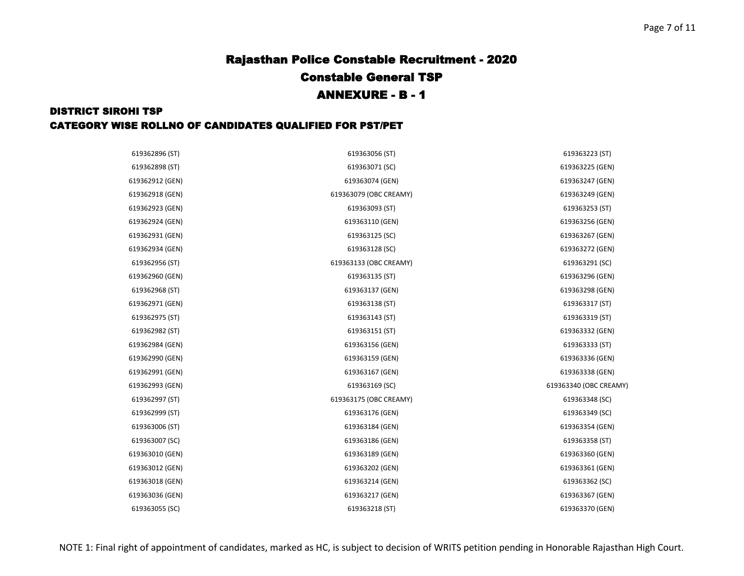| 619362896 (ST)  | 619363056 (ST)         | 619363223 (ST)         |
|-----------------|------------------------|------------------------|
| 619362898 (ST)  | 619363071 (SC)         | 619363225 (GEN)        |
| 619362912 (GEN) | 619363074 (GEN)        | 619363247 (GEN)        |
| 619362918 (GEN) | 619363079 (OBC CREAMY) | 619363249 (GEN)        |
| 619362923 (GEN) | 619363093 (ST)         | 619363253 (ST)         |
| 619362924 (GEN) | 619363110 (GEN)        | 619363256 (GEN)        |
| 619362931 (GEN) | 619363125 (SC)         | 619363267 (GEN)        |
| 619362934 (GEN) | 619363128 (SC)         | 619363272 (GEN)        |
| 619362956 (ST)  | 619363133 (OBC CREAMY) | 619363291 (SC)         |
| 619362960 (GEN) | 619363135 (ST)         | 619363296 (GEN)        |
| 619362968 (ST)  | 619363137 (GEN)        | 619363298 (GEN)        |
| 619362971 (GEN) | 619363138 (ST)         | 619363317 (ST)         |
| 619362975 (ST)  | 619363143 (ST)         | 619363319 (ST)         |
| 619362982 (ST)  | 619363151 (ST)         | 619363332 (GEN)        |
| 619362984 (GEN) | 619363156 (GEN)        | 619363333 (ST)         |
| 619362990 (GEN) | 619363159 (GEN)        | 619363336 (GEN)        |
| 619362991 (GEN) | 619363167 (GEN)        | 619363338 (GEN)        |
| 619362993 (GEN) | 619363169 (SC)         | 619363340 (OBC CREAMY) |
| 619362997 (ST)  | 619363175 (OBC CREAMY) | 619363348 (SC)         |
| 619362999 (ST)  | 619363176 (GEN)        | 619363349 (SC)         |
| 619363006 (ST)  | 619363184 (GEN)        | 619363354 (GEN)        |
| 619363007 (SC)  | 619363186 (GEN)        | 619363358 (ST)         |
| 619363010 (GEN) | 619363189 (GEN)        | 619363360 (GEN)        |
| 619363012 (GEN) | 619363202 (GEN)        | 619363361 (GEN)        |
| 619363018 (GEN) | 619363214 (GEN)        | 619363362 (SC)         |
| 619363036 (GEN) | 619363217 (GEN)        | 619363367 (GEN)        |
| 619363055 (SC)  | 619363218 (ST)         | 619363370 (GEN)        |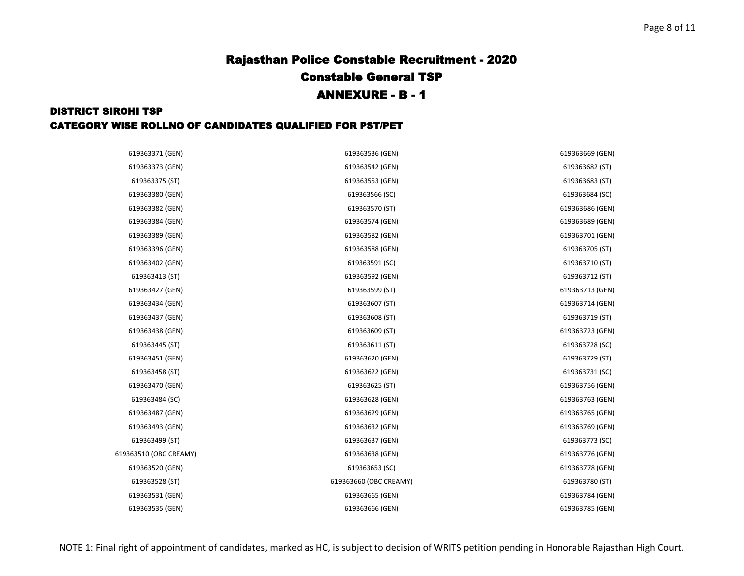| 619363371 (GEN)        | 619363536 (GEN)        | 619363669 (GEN) |
|------------------------|------------------------|-----------------|
| 619363373 (GEN)        | 619363542 (GEN)        | 619363682 (ST)  |
| 619363375 (ST)         | 619363553 (GEN)        | 619363683 (ST)  |
| 619363380 (GEN)        | 619363566 (SC)         | 619363684 (SC)  |
| 619363382 (GEN)        | 619363570 (ST)         | 619363686 (GEN) |
| 619363384 (GEN)        | 619363574 (GEN)        | 619363689 (GEN) |
| 619363389 (GEN)        | 619363582 (GEN)        | 619363701 (GEN) |
| 619363396 (GEN)        | 619363588 (GEN)        | 619363705 (ST)  |
| 619363402 (GEN)        | 619363591 (SC)         | 619363710 (ST)  |
| 619363413 (ST)         | 619363592 (GEN)        | 619363712 (ST)  |
| 619363427 (GEN)        | 619363599 (ST)         | 619363713 (GEN) |
| 619363434 (GEN)        | 619363607 (ST)         | 619363714 (GEN) |
| 619363437 (GEN)        | 619363608 (ST)         | 619363719 (ST)  |
|                        |                        |                 |
| 619363438 (GEN)        | 619363609 (ST)         | 619363723 (GEN) |
| 619363445 (ST)         | 619363611 (ST)         | 619363728 (SC)  |
| 619363451 (GEN)        | 619363620 (GEN)        | 619363729 (ST)  |
| 619363458 (ST)         | 619363622 (GEN)        | 619363731 (SC)  |
| 619363470 (GEN)        | 619363625 (ST)         | 619363756 (GEN) |
| 619363484 (SC)         | 619363628 (GEN)        | 619363763 (GEN) |
| 619363487 (GEN)        | 619363629 (GEN)        | 619363765 (GEN) |
| 619363493 (GEN)        | 619363632 (GEN)        | 619363769 (GEN) |
| 619363499 (ST)         | 619363637 (GEN)        | 619363773 (SC)  |
| 619363510 (OBC CREAMY) | 619363638 (GEN)        | 619363776 (GEN) |
| 619363520 (GEN)        | 619363653 (SC)         | 619363778 (GEN) |
| 619363528 (ST)         | 619363660 (OBC CREAMY) | 619363780 (ST)  |
| 619363531 (GEN)        | 619363665 (GEN)        | 619363784 (GEN) |
| 619363535 (GEN)        | 619363666 (GEN)        | 619363785 (GEN) |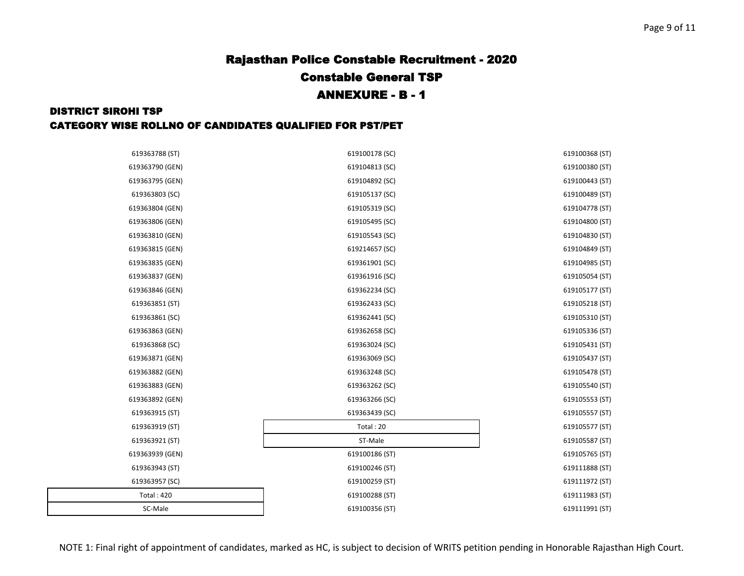| 619363788 (ST)    | 619100178 (SC) | 619100368 (ST) |
|-------------------|----------------|----------------|
| 619363790 (GEN)   | 619104813 (SC) | 619100380 (ST) |
| 619363795 (GEN)   | 619104892 (SC) | 619100443 (ST) |
| 619363803 (SC)    | 619105137 (SC) | 619100489 (ST) |
| 619363804 (GEN)   | 619105319 (SC) | 619104778 (ST) |
| 619363806 (GEN)   | 619105495 (SC) | 619104800 (ST) |
| 619363810 (GEN)   | 619105543 (SC) | 619104830 (ST) |
| 619363815 (GEN)   | 619214657 (SC) | 619104849 (ST) |
| 619363835 (GEN)   | 619361901 (SC) | 619104985 (ST) |
| 619363837 (GEN)   | 619361916 (SC) | 619105054 (ST) |
| 619363846 (GEN)   | 619362234 (SC) | 619105177 (ST) |
| 619363851 (ST)    | 619362433 (SC) | 619105218 (ST) |
| 619363861 (SC)    | 619362441 (SC) | 619105310 (ST) |
| 619363863 (GEN)   | 619362658 (SC) | 619105336 (ST) |
| 619363868 (SC)    | 619363024 (SC) | 619105431 (ST) |
| 619363871 (GEN)   | 619363069 (SC) | 619105437 (ST) |
| 619363882 (GEN)   | 619363248 (SC) | 619105478 (ST) |
| 619363883 (GEN)   | 619363262 (SC) | 619105540 (ST) |
| 619363892 (GEN)   | 619363266 (SC) | 619105553 (ST) |
| 619363915 (ST)    | 619363439 (SC) | 619105557 (ST) |
| 619363919 (ST)    | Total: 20      | 619105577 (ST) |
| 619363921 (ST)    | ST-Male        | 619105587 (ST) |
| 619363939 (GEN)   | 619100186 (ST) | 619105765 (ST) |
| 619363943 (ST)    | 619100246 (ST) | 619111888 (ST) |
| 619363957 (SC)    | 619100259 (ST) | 619111972 (ST) |
| <b>Total: 420</b> | 619100288 (ST) | 619111983 (ST) |
| SC-Male           | 619100356 (ST) | 619111991 (ST) |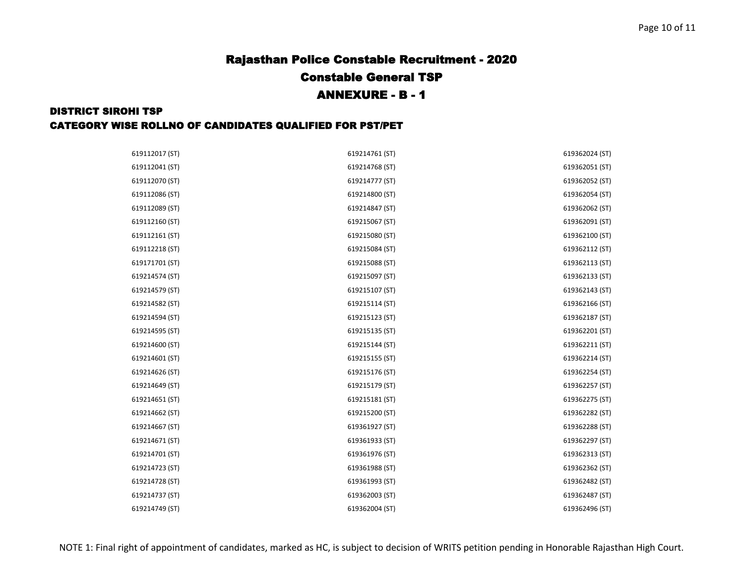| 619112017 (ST) | 619214761 (ST) | 619362024 (ST) |
|----------------|----------------|----------------|
| 619112041 (ST) | 619214768 (ST) | 619362051 (ST) |
| 619112070 (ST) | 619214777 (ST) | 619362052 (ST) |
| 619112086 (ST) | 619214800 (ST) | 619362054 (ST) |
| 619112089 (ST) | 619214847 (ST) | 619362062 (ST) |
| 619112160 (ST) | 619215067 (ST) | 619362091 (ST) |
| 619112161 (ST) | 619215080 (ST) | 619362100 (ST) |
| 619112218 (ST) | 619215084 (ST) | 619362112 (ST) |
| 619171701 (ST) | 619215088 (ST) | 619362113 (ST) |
| 619214574 (ST) | 619215097 (ST) | 619362133 (ST) |
| 619214579 (ST) | 619215107 (ST) | 619362143 (ST) |
| 619214582 (ST) | 619215114 (ST) | 619362166 (ST) |
| 619214594 (ST) | 619215123 (ST) | 619362187 (ST) |
| 619214595 (ST) | 619215135 (ST) | 619362201 (ST) |
| 619214600 (ST) | 619215144 (ST) | 619362211 (ST) |
| 619214601 (ST) | 619215155 (ST) | 619362214 (ST) |
| 619214626 (ST) | 619215176 (ST) | 619362254 (ST) |
| 619214649 (ST) | 619215179 (ST) | 619362257 (ST) |
| 619214651 (ST) | 619215181 (ST) | 619362275 (ST) |
| 619214662 (ST) | 619215200 (ST) | 619362282 (ST) |
| 619214667 (ST) | 619361927 (ST) | 619362288 (ST) |
| 619214671 (ST) | 619361933 (ST) | 619362297 (ST) |
| 619214701 (ST) | 619361976 (ST) | 619362313 (ST) |
| 619214723 (ST) | 619361988 (ST) | 619362362 (ST) |
| 619214728 (ST) | 619361993 (ST) | 619362482 (ST) |
| 619214737 (ST) | 619362003 (ST) | 619362487 (ST) |
| 619214749 (ST) | 619362004 (ST) | 619362496 (ST) |